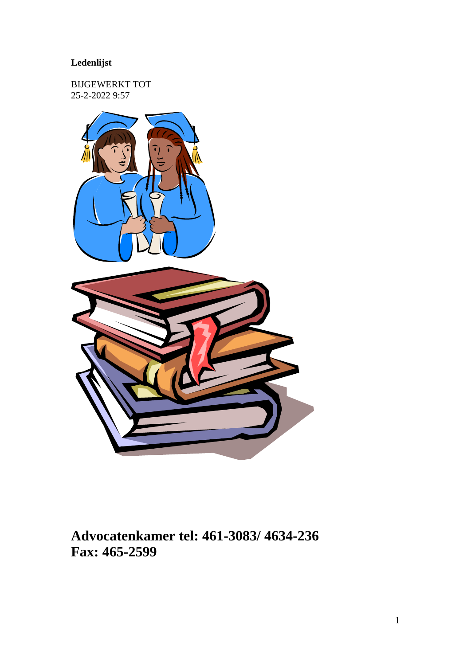### **Ledenlijst**

BIJGEWERKT TOT 25-2-2022 9:57



**Advocatenkamer tel: 461-3083/ 4634-236 Fax: 465-2599**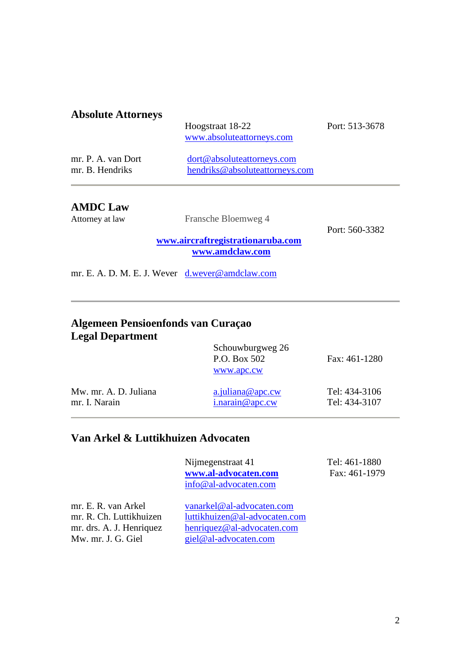#### **Absolute Attorneys**

Hoogstraat 18-22 Port: 513-3678 [www.absoluteattorneys.com](http://www.absoluteattorneys.com/)

| mr. P. A. van Dort | dort@absoluteattorneys.com     |
|--------------------|--------------------------------|
| mr. B. Hendriks    | hendriks@absoluteattorneys.com |

#### **AMDC Law**

Attorney at law Fransche Bloemweg 4

Port: 560-3382

**[www.aircraftregistrationaruba.com](http://www.aircraftregistrationaruba.com/) [www.amdclaw.com](http://www.amdclaw.com/)**

mr. E. A. D. M. E. J. Wever [d.wever@amdclaw.com](mailto:d.wever@amdclaw.com)

### **Algemeen Pensioenfonds van Curaçao Legal Department**

|                       | Schouwburgweg 26<br>P.O. Box 502<br>www.apc.cw | Fax: 461-1280 |
|-----------------------|------------------------------------------------|---------------|
| Mw. mr. A. D. Juliana | $a$ . juliana@apc.cw                           | Tel: 434-3106 |
| mr. I. Narain         | $i$ .narain@apc.cw                             | Tel: 434-3107 |

### **Van Arkel & Luttikhuizen Advocaten**

Nijmegenstraat 41 Tel: 461-1880 **[www.al-advocaten.com](http://www.al-advocaten.com/)** Fax: 461-1979 [info@al-advocaten.com](mailto:info@al-advocaten.com)

| vanarkel@al-advocaten.com<br>luttikhuizen@al-advocaten.com           |
|----------------------------------------------------------------------|
| henriquez@al-advocaten.com<br>$\text{giel}\,\omega$ al-advocaten.com |
|                                                                      |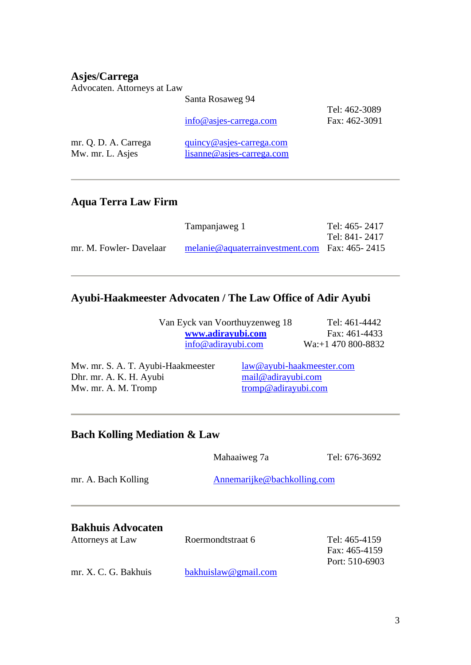### **Asjes/Carrega**

Advocaten. Attorneys at Law

|                                          | Santa Rosaweg 94                                                                                    |                                |
|------------------------------------------|-----------------------------------------------------------------------------------------------------|--------------------------------|
|                                          | $info@$ as jes-carrega.com                                                                          | Tel: 462-3089<br>Fax: 462-3091 |
| mr. Q. D. A. Carrega<br>Mw. mr. L. Asjes | $\frac{q \text{u} \text{inv} \mathcal{Q}}{q \text{asjes-carrega.com}}$<br>lisanne@asjes-carrega.com |                                |

### **Aqua Terra Law Firm**

|                         | Tampanjaweg 1                                     | Tel: 465 - 2417 |
|-------------------------|---------------------------------------------------|-----------------|
|                         |                                                   | Tel: 841 - 2417 |
| mr. M. Fowler- Davelaar | melanie@aquaterrainvestment.com Fax: $465 - 2415$ |                 |

### **Ayubi-Haakmeester Advocaten / The Law Office of Adir Ayubi**

| Van Eyck van Voorthuyzenweg 18 | Tel: 461-4442       |
|--------------------------------|---------------------|
| www.adirayubi.com              | Fax: 461-4433       |
| $info@{\text{adirayubi.com}}$  | $Wa: +1470800-8832$ |

Mw. mr. S. A. T. Ayubi-Haakmeester [law@ayubi-haakmeester.com](mailto:law@ayubi-haakmeester.com)<br>Dhr. mr. A. K. H. Ayubi mail@adirayubi.com Dhr. mr. A. K. H. Ayubi [mail@adirayubi.com](mailto:mail@adirayubi.com)<br>Mw. mr. A. M. Tromp mail@adirayubi.com Mw. mr. A. M. Tromp

### **Bach Kolling Mediation & Law**

|                                              | Mahaaiweg 7a                | Tel: 676-3692                                    |  |
|----------------------------------------------|-----------------------------|--------------------------------------------------|--|
| mr. A. Bach Kolling                          | Annemarijke@bachkolling.com |                                                  |  |
| <b>Bakhuis Advocaten</b><br>Attorneys at Law | Roermondtstraat 6           | Tel: 465-4159<br>Fax: 465-4159<br>Port: 510-6903 |  |

| bakhuislaw@gmail.com |
|----------------------|
|                      |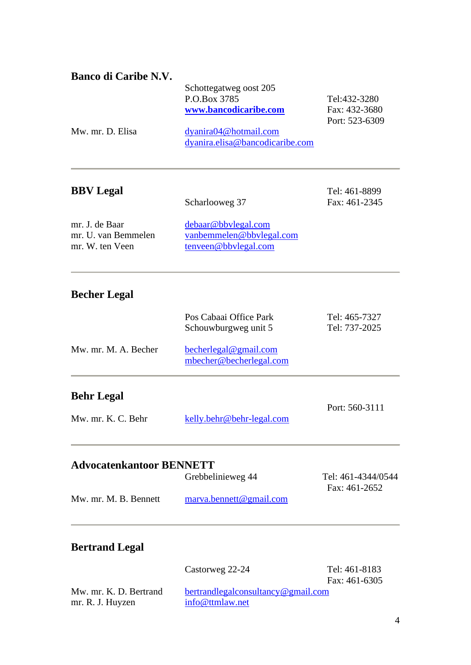| Banco di Caribe N.V. |                                 |                |
|----------------------|---------------------------------|----------------|
|                      | Schottegatweg oost 205          |                |
|                      | P.O.Box 3785                    | Tel:432-3280   |
|                      | www.bancodicaribe.com           | Fax: 432-3680  |
|                      |                                 | Port: 523-6309 |
| Mw. mr. D. Elisa     | dyanira04@hotmail.com           |                |
|                      | dyanira.elisa@bancodicaribe.com |                |

### **BBV Legal** Tel: 461-8899

Scharlooweg 37 Fax: 461-2345

| mr. J. de Baar      | debaar@bbylegal.com      |
|---------------------|--------------------------|
| mr. U. van Bemmelen | vanbemmelen@bbylegal.com |
| mr. W. ten Veen     | tenveen@bbylegal.com     |

### **Becher Legal**

|                      | Pos Cabaai Office Park<br>Schouwburgweg unit 5   | Tel: 465-7327<br>Tel: 737-2025 |
|----------------------|--------------------------------------------------|--------------------------------|
| Mw. mr. M. A. Becher | becherlegal@gmail.com<br>mbecher@becherlegal.com |                                |
|                      |                                                  |                                |

### **Behr Legal**

Port: 560-3111 Mw. mr. K. C. Behr [kelly.behr@behr-legal.com](mailto:kelly.behr@behr-legal.com)

### **Advocatenkantoor BENNETT**

|                       | Grebbelinieweg 44         | Tel: 461-4344/0544 |
|-----------------------|---------------------------|--------------------|
|                       |                           | Fax: 461-2652      |
| Mw. mr. M. B. Bennett | marva. be nnett@gmail.com |                    |
|                       |                           |                    |

### **Bertrand Legal**

|                        | Castorweg 22-24                    | Tel: 461-8183   |
|------------------------|------------------------------------|-----------------|
|                        |                                    | Fax: $461-6305$ |
| Mw. mr. K. D. Bertrand | bertrandlegalconsultancy@gmail.com |                 |
| mr. R. J. Huyzen       | info@ttmlaw.net                    |                 |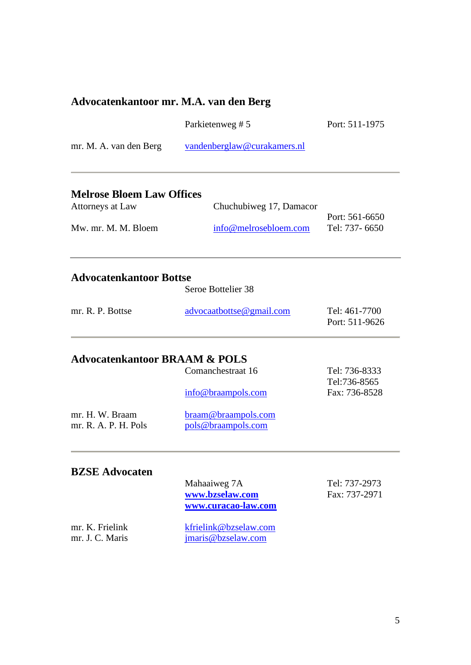### **Advocatenkantoor mr. M.A. van den Berg**

mr. J. C. Maris *jmaris@bzselaw.com* 

|                                                      | Parkietenweg #5                                        | Port: 511-1975                   |
|------------------------------------------------------|--------------------------------------------------------|----------------------------------|
| mr. M. A. van den Berg                               | vandenberglaw@curakamers.nl                            |                                  |
| <b>Melrose Bloem Law Offices</b><br>Attorneys at Law | Chuchubiweg 17, Damacor                                |                                  |
| Mw. mr. M. M. Bloem                                  | info@melrosebloem.com                                  | Port: 561-6650<br>Tel: 737- 6650 |
| <b>Advocatenkantoor Bottse</b>                       | Seroe Bottelier 38                                     |                                  |
| mr. R. P. Bottse                                     | advocaatbottse@gmail.com                               | Tel: 461-7700<br>Port: 511-9626  |
| <b>Advocatenkantoor BRAAM &amp; POLS</b>             |                                                        |                                  |
|                                                      | Comanchestraat 16                                      | Tel: 736-8333<br>Tel:736-8565    |
|                                                      | info@braampols.com                                     | Fax: 736-8528                    |
| mr. H. W. Braam<br>mr. R. A. P. H. Pols              | braam@braampols.com<br>pols@braampols.com              |                                  |
| <b>BZSE Advocaten</b>                                |                                                        |                                  |
|                                                      | Mahaaiweg 7A<br>www.bzselaw.com<br>www.curacao-law.com | Tel: 737-2973<br>Fax: 737-2971   |
| mr. K. Frielink                                      | kfrielink@bzselaw.com                                  |                                  |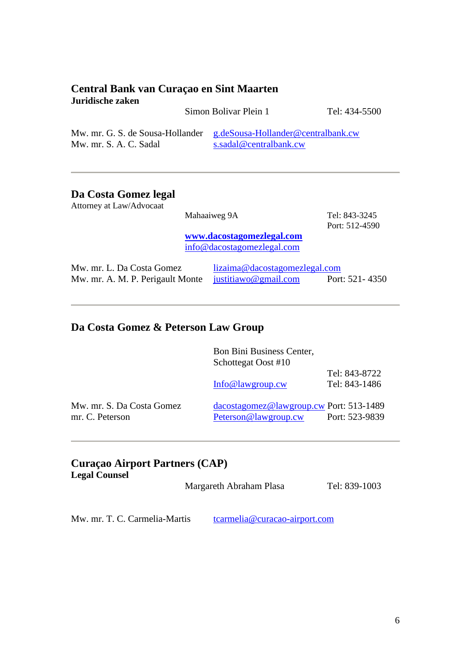#### **Central Bank van Curaçao en Sint Maarten Juridische zaken**

|                                                                                               | Simon Bolivar Plein 1  | Tel: 434-5500 |
|-----------------------------------------------------------------------------------------------|------------------------|---------------|
| Mw. mr. G. S. de Sousa-Hollander g.deSousa-Hollander@centralbank.cw<br>Mw. mr. S. A. C. Sadal | s.sadal@centralbank.cw |               |

### **Da Costa Gomez legal**

| Attorney at Law/Advocaat                                      |                                                         |                |
|---------------------------------------------------------------|---------------------------------------------------------|----------------|
|                                                               | Mahaaiweg 9A                                            | Tel: 843-3245  |
|                                                               |                                                         | Port: 512-4590 |
|                                                               | www.dacostagomezlegal.com<br>info@dacostagomezlegal.com |                |
| Mw. mr. L. Da Costa Gomez<br>Mw. mr. A. M. P. Perigault Monte | lizaima@dacostagomezlegal.com<br>justitiawo@gmail.com   | Port: 521-4350 |

### **Da Costa Gomez & Peterson Law Group**

|                                              | Bon Bini Business Center,<br>Schottegat Oost #10                |                                |
|----------------------------------------------|-----------------------------------------------------------------|--------------------------------|
|                                              | Info@lawgroup.cw                                                | Tel: 843-8722<br>Tel: 843-1486 |
| Mw. mr. S. Da Costa Gomez<br>mr. C. Peterson | dacostagomez@lawgroup.cw Port: 513-1489<br>Peterson@lawgroup.cw | Port: 523-9839                 |

#### **Curaçao Airport Partners (CAP) Legal Counsel**

Margareth Abraham Plasa Tel: 839-1003

Mw. mr. T. C. Carmelia-Martis [tcarmelia@curacao-airport.com](mailto:tcarmelia@curacao-airport.com)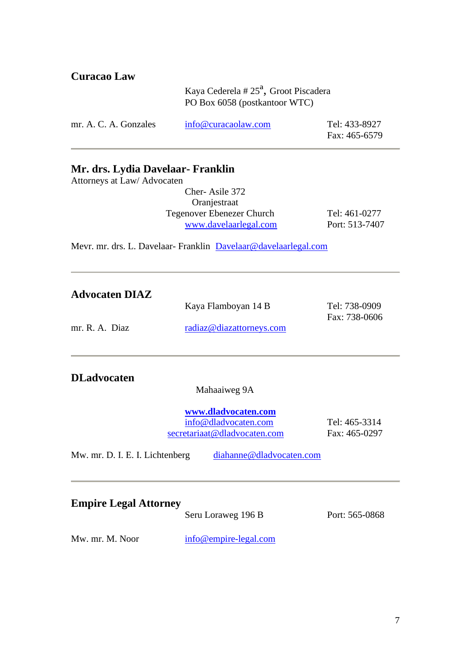| <b>Curacao Law</b>    |                                                                          |                                |
|-----------------------|--------------------------------------------------------------------------|--------------------------------|
|                       | Kaya Cederela # $25a$ , Groot Piscadera<br>PO Box 6058 (postkantoor WTC) |                                |
| mr. A. C. A. Gonzales | info@curacaolaw.com                                                      | Tel: 433-8927<br>Fax: 465-6579 |

#### **Mr. drs. Lydia Davelaar- Franklin**

Attorneys at Law/ Advocaten

Cher- Asile 372 Oranjestraat Tegenover Ebenezer Church Tel: 461-0277<br>www.davelaarlegal.com Port: 513-7407 [www.davelaarlegal.com](http://www.davelaarlegal.com/)

Mevr. mr. drs. L. Davelaar- Franklin [Davelaar@davelaarlegal.com](mailto:Davelaar@davelaarlegal.com)

| <b>Advocaten DIAZ</b><br>mr. R. A. Diaz                                            | Kaya Flamboyan 14 B<br>radiaz@diazattorneys.com                                             | Tel: 738-0909<br>Fax: 738-0606 |
|------------------------------------------------------------------------------------|---------------------------------------------------------------------------------------------|--------------------------------|
| <b>DLadvocaten</b>                                                                 | Mahaaiweg 9A<br>www.dladvocaten.com<br>info@dladvocaten.com<br>secretariaat@dladvocaten.com | Tel: 465-3314<br>Fax: 465-0297 |
| Mw. mr. D. I. E. I. Lichtenberg<br><b>Empire Legal Attorney</b><br>Mw. mr. M. Noor | diahanne@dladvocaten.com<br>Seru Loraweg 196 B<br>info@empire-legal.com                     | Port: 565-0868                 |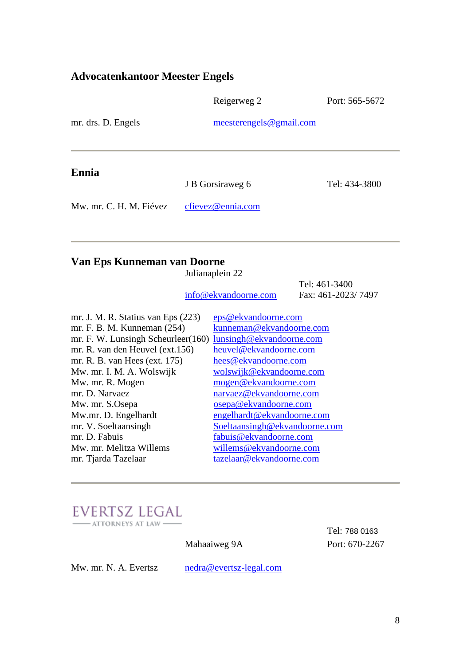### **Advocatenkantoor Meester Engels**

|                         | Reigerweg 2             | Port: 565-5672 |
|-------------------------|-------------------------|----------------|
| mr. drs. D. Engels      | meesterengels@gmail.com |                |
|                         |                         |                |
| Ennia                   | J B Gorsiraweg 6        | Tel: 434-3800  |
| Mw. mr. C. H. M. Fiévez | cfievez@ennia.com       |                |
|                         |                         |                |

### **Van Eps Kunneman van Doorne**

|                                    | Julianaplein 22               |                    |
|------------------------------------|-------------------------------|--------------------|
|                                    |                               | Tel: 461-3400      |
|                                    | info@ekvandoorne.com          | Fax: 461-2023/7497 |
|                                    |                               |                    |
| mr. J. M. R. Statius van Eps (223) | eps@ekvandoorne.com           |                    |
| mr. F. B. M. Kunneman (254)        | kunneman@ekvandoorne.com      |                    |
| mr. F. W. Lunsingh Scheurleer(160) | lunsingh@ekvandoorne.com      |                    |
| mr. R. van den Heuvel (ext. 156)   | heuvel@ekvandoorne.com        |                    |
| mr. R. B. van Hees (ext. 175)      | hees@ekvandoorne.com          |                    |
| Mw. mr. I. M. A. Wolswijk          | wolswijk@ekvandoorne.com      |                    |
| Mw. mr. R. Mogen                   | mogen@ekvandoorne.com         |                    |
| mr. D. Narvaez                     | narvaez@ekvandoorne.com       |                    |
| Mw. mr. S.Osepa                    | osepa@ekvandoorne.com         |                    |
| Mw.mr. D. Engelhardt               | engelhardt@ekvandoorne.com    |                    |
| mr. V. Soeltaansingh               | Soeltaansingh@ekvandoorne.com |                    |
| mr. D. Fabuis                      | fabuis@ekvandoorne.com        |                    |
| Mw. mr. Melitza Willems            | willems@ekvandoorne.com       |                    |
| mr. Tjarda Tazelaar                | tazelaar@ekvandoorne.com      |                    |



Tel: 788 0163 Mahaaiweg 9A Port: 670-2267

Mw. mr. N. A. Evertsz [nedra@evertsz-legal.com](mailto:nedra@evertsz-legal.com)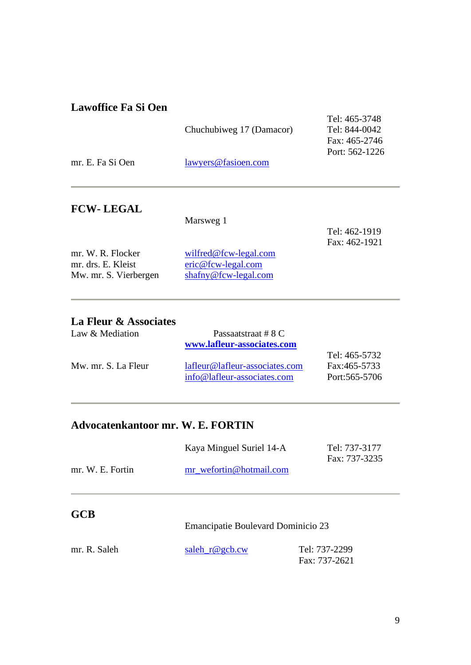### **Lawoffice Fa Si Oen**

| mr. E. Fa Si Oen | Chuchubiweg 17 (Damacor)<br>lawyers@fasioen.com | Tel: 465-3748<br>Tel: 844-0042<br>Fax: 465-2746<br>Port: 562-1226 |
|------------------|-------------------------------------------------|-------------------------------------------------------------------|
|                  |                                                 |                                                                   |
| <b>FCW-LEGAL</b> | Marsweg 1                                       |                                                                   |
|                  |                                                 | Tel: 462-1919                                                     |

|                       |                                      | Fax: 462-1921 |
|-----------------------|--------------------------------------|---------------|
| mr. W. R. Flocker     | wilfred@fcw-legal.com                |               |
| mr. drs. E. Kleist    | $e^{\pi i c \omega t}$ fcw-legal.com |               |
| Mw. mr. S. Vierbergen | $shafny@fcw-legal.com$               |               |

### **La Fleur & Associates**

| Law & Mediation     | Passaatstraat # 8 C            |                  |
|---------------------|--------------------------------|------------------|
|                     | www.lafleur-associates.com     |                  |
|                     |                                | Tel: 465-5732    |
| Mw. mr. S. La Fleur | lafleur@lafleur-associates.com | Fax:465-5733     |
|                     | info@lafleur-associates.com    | Port: 565 - 5706 |

### **Advocatenkantoor mr. W. E. FORTIN**

|                  | Kaya Minguel Suriel 14-A | Tel: 737-3177 |
|------------------|--------------------------|---------------|
|                  |                          | Fax: 737-3235 |
| mr. W. E. Fortin | mr wefortin@hotmail.com  |               |

### **GCB**

Emancipatie Boulevard Dominicio 23

| mr. R. Saleh | saleh $r@gcb.cw$ | Tel: 737-2299 |
|--------------|------------------|---------------|
|              |                  | Fax: 737-2621 |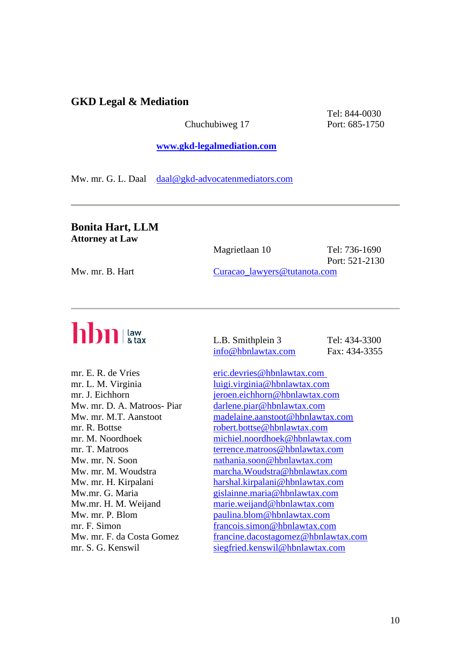#### **GKD Legal & Mediation**

Chuchubiweg 17 Port: 685-1750

Tel: 844-0030

#### **[www.gkd-legalmediation.com](http://www.gkd-legalmediation.com/)**

Mw. mr. G. L. Daal [daal@gkd-advocatenmediators.com](mailto:daal@gkd-advocatenmediators.com)

#### **Bonita Hart, LLM Attorney at Law**

|                 | Magrietlaan 10               | Tel: 736-1690<br>Port: 521-2130 |
|-----------------|------------------------------|---------------------------------|
| Mw. mr. B. Hart | Curação lawyers@tutanota.com |                                 |

# hbn law

L.B. Smithplein 3 Tel: 434-3300 [info@hbnlawtax.com](mailto:info@hbnlawtax.com) Fax: 434-3355

mr. E. R. de Vries [eric.devries@hbnlawtax.com](mailto:eric.devries@hbnlawtax.com%09) mr. L. M. Virginia luigi.virginia@hbnlawtax.com mr. J. Eichhorn ieroen.eichhorn@hbnlawtax.com Mw. mr. D. A. Matroos- Piar [darlene.piar@hbnlawtax.com](mailto:darlene.piar@hbnlawtax.com) Mw. mr. M.T. Aanstoot [madelaine.aanstoot@hbnlawtax.com](mailto:madelaine.aanstoot@hbnlawtax.com) mr. R. Bottse [robert.bottse@hbnlawtax.com](mailto:robert.bottse@hbnlawtax.com) mr. M. Noordhoek [michiel.noordhoek@hbnlawtax.com](mailto:michiel.noordhoek@hbnlawtax.com) mr. T. Matroos [terrence.matroos@hbnlawtax.com](mailto:terrence.matroos@hbnlawtax.com) Mw. mr. N. Soon [nathania.soon@hbnlawtax.com](mailto:nathania.soon@hbnlawtax.com) Mw. mr. M. Woudstra [marcha.Woudstra@hbnlawtax.com](mailto:marcha.Woudstra@hbnlawtax.com) Mw. mr. H. Kirpalani [harshal.kirpalani@hbnlawtax.com](mailto:harshal.kirpalani@hbnlawtax.com) Mw.mr. G. Maria [gislainne.maria@hbnlawtax.com](mailto:gislainne.maria@hbnlawtax.com) Mw.mr. H. M. Weijand [marie.weijand@hbnlawtax.com](mailto:marie.weijand@hbnlawtax.com) Mw. mr. P. Blom [paulina.blom@hbnlawtax.com](mailto:paulina.blom@hbnlawtax.com) mr. F. Simon francois.simon@hbnlawtax.com Mw. mr. F. da Costa Gomez [francine.dacostagomez@hbnlawtax.com](mailto:francine.dacostagomez@hbnlawtax.com) mr. S. G. Kenswil [siegfried.kenswil@hbnlawtax.com](mailto:siegfried.kenswil@hbnlawtax.com)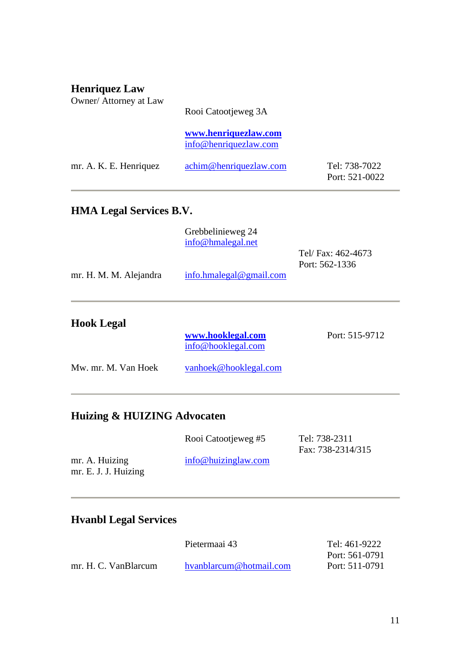| <b>Henriquez Law</b><br>Owner/ Attorney at Law | Rooi Catootjeweg 3A                           |                                   |
|------------------------------------------------|-----------------------------------------------|-----------------------------------|
|                                                | www.henriquezlaw.com<br>info@henriquezlaw.com |                                   |
| mr. A. K. E. Henriquez                         | achim@henriquezlaw.com                        | Tel: 738-7022<br>Port: $521-0022$ |

### **HMA Legal Services B.V.**

|                        | Grebbelinieweg 24<br>info@hmalegal.net  | Tel/Fax: 462-4673<br>Port: 562-1336 |
|------------------------|-----------------------------------------|-------------------------------------|
| mr. H. M. M. Alejandra | info.hmalegal@gmail.com                 |                                     |
| <b>Hook Legal</b>      | www.hooklegal.com<br>info@hooklegal.com | Port: 515-9712                      |
| Mw. mr. M. Van Hoek    | vanhoek@hooklegal.com                   |                                     |

## **Huizing & HUIZING Advocaten**

|                      | Rooi Catootjeweg #5 | Tel: 738-2311     |
|----------------------|---------------------|-------------------|
|                      |                     | Fax: 738-2314/315 |
| mr. A. Huizing       | info@huizinglaw.com |                   |
| mr. E. J. J. Huizing |                     |                   |

## **Hvanbl Legal Services**

|                      | Pietermaai 43           | Tel: 461-9222  |
|----------------------|-------------------------|----------------|
|                      |                         | Port: 561-0791 |
| mr. H. C. VanBlarcum | hyanblarcum@hotmail.com | Port: 511-0791 |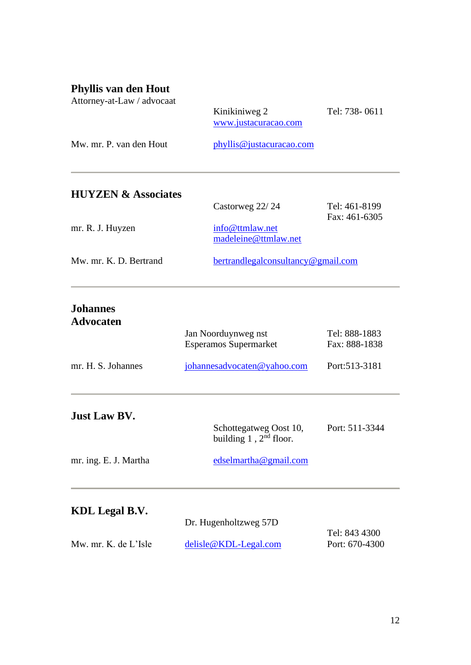### **Phyllis van den Hout**

| Attorney-at-Law / advocaat          | Kinikiniweg 2<br>www.justacuracao.com   | Tel: 738-0611                  |
|-------------------------------------|-----------------------------------------|--------------------------------|
| Mw. mr. P. van den Hout             | phyllis@justacuracao.com                |                                |
| <b>HUYZEN &amp; Associates</b>      |                                         |                                |
|                                     | Castorweg 22/24                         | Tel: 461-8199<br>Fax: 461-6305 |
| mr. R. J. Huyzen                    | info@ttmlaw.net<br>madeleine@ttmlaw.net |                                |
| Mw. mr. K. D. Bertrand              | bertrandlegalconsultancy@gmail.com      |                                |
| <b>Johannes</b><br><b>Advocaten</b> |                                         |                                |
|                                     | Jan Noorduynweg nst                     | Tel: 888-1883                  |
|                                     | <b>Esperamos Supermarket</b>            | Fax: 888-1838                  |
| mr. H. S. Johannes                  | johannesadvocaten@yahoo.com             | Port:513-3181                  |
| <b>Just Law BV.</b>                 | Schottegatweg Oost 10,                  | Port: 511-3344                 |
|                                     | building $1$ , $2nd$ floor.             |                                |
| mr. ing. E. J. Martha               | edselmartha@gmail.com                   |                                |
|                                     |                                         |                                |

## **KDL Legal B.V.**

Î.

|                      | Dr. Hugenholtzweg 57D   |                  |
|----------------------|-------------------------|------------------|
|                      |                         | Tel: 843 4300    |
| Mw. mr. K. de L'Isle | $delisle@KDL-Legal.com$ | Port: $670-4300$ |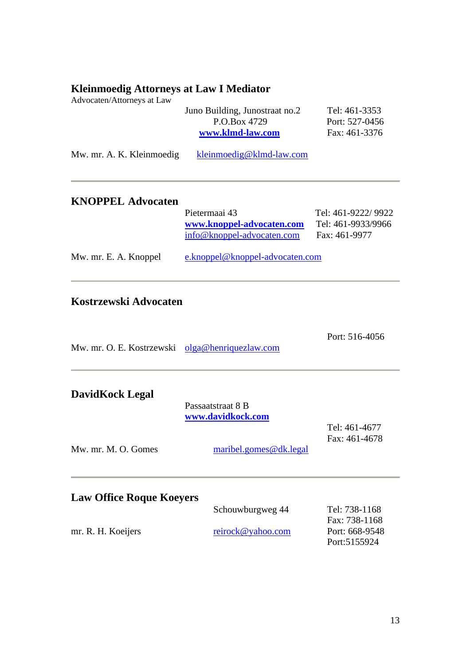#### **Kleinmoedig Attorneys at Law I Mediator**

Advocaten/Attorneys at Law

|                           | Juno Building, Junostraat no.2<br>P.O.Box 4729<br>www.klmd-law.com       | Tel: 461-3353<br>Port: 527-0456<br>Fax: 461-3376          |
|---------------------------|--------------------------------------------------------------------------|-----------------------------------------------------------|
| Mw. mr. A. K. Kleinmoedig | kleinmoedig@klmd-law.com                                                 |                                                           |
| <b>KNOPPEL Advocaten</b>  | Pietermaai 43<br>www.knoppel-advocaten.com<br>info@knoppel-advocaten.com | Tel: 461-9222/9922<br>Tel: 461-9933/9966<br>Fax: 461-9977 |
| Mw. mr. E. A. Knoppel     | e.knoppel@knoppel-advocaten.com                                          |                                                           |
| Kostrzewski Advocaten     |                                                                          |                                                           |

Port: 516-4056

Mw. mr. O. E. Kostrzewski [olga@henriquezlaw.com](mailto:olga@henriquezlaw.com)

### **DavidKock Legal**

|                                 | Passaatstraat 8 B<br>www.davidkock.com |                                 |
|---------------------------------|----------------------------------------|---------------------------------|
| $Mw$ , mr. M. O. Gomes          | maribel.gomes@dk.legal                 | Tel: 461-4677<br>Fax: 461-4678  |
| <b>Law Office Roque Koeyers</b> |                                        |                                 |
|                                 | Schouwburgweg 44                       | Tel: 738-1168<br>Fax: 738-1168  |
| mr. R. H. Koeijers              | reirock@yahoo.com                      | Port: 668-9548<br>Port: 5155924 |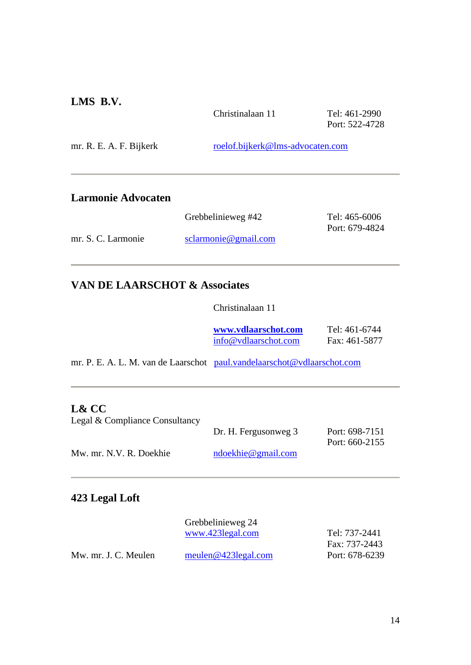### **LMS B.V.**

|                           | Christinalaan 11                 | Tel: 461-2990<br>Port: 522-4728 |
|---------------------------|----------------------------------|---------------------------------|
| mr. R. E. A. F. Bijkerk   | roelof.bijkerk@lms-advocaten.com |                                 |
| <b>Larmonie Advocaten</b> |                                  |                                 |
|                           | Grebbelinieweg #42               | Tel: 465-6006<br>Port: 679-4824 |
| mr. S. C. Larmonie        | sclarmonic@gmail.com             |                                 |

### **VAN DE LAARSCHOT & Associates**

Christinalaan 11

| www.ydlaarschot.com  | Tel: 461-6744 |
|----------------------|---------------|
| info@vdlaarschot.com | Fax: 461-5877 |

mr. P. E. A. L. M. van de Laarschot [paul.vandelaarschot@vdlaarschot.com](file:///C:/Users/Nadeska/AppData/Local/Microsoft/Windows/INetCache/Content.Outlook/AppData/Local/Microsoft/Windows/Temporary%20Internet%20Files/Content.Outlook/SGMRPTLQ/paul.vandelaarschot@vdlaarschot.com)

#### **L& CC**

| Legal & Compliance Consultancy |                      |                |
|--------------------------------|----------------------|----------------|
|                                | Dr. H. Fergusonweg 3 | Port: 698-7151 |
|                                |                      | Port: 660-2155 |
| Mw. mr. N.V. R. Doekhie        | ndoekhie@gmail.com   |                |

### **423 Legal Loft**

|                      | Grebbelinieweg 24   |                |
|----------------------|---------------------|----------------|
|                      | www.423legal.com    | Tel: 737-2441  |
|                      |                     | Fax: 737-2443  |
| Mw. mr. J. C. Meulen | meulen@423legal.com | Port: 678-6239 |
|                      |                     |                |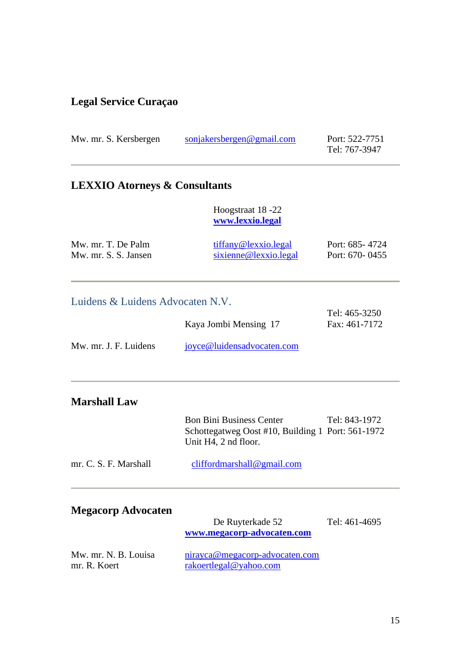## **Legal Service Curaçao**

| Mw. mr. S. Kersbergen                      | sonjakersbergen@gmail.com                     | Port: 522-7751<br>Tel: 767-3947  |
|--------------------------------------------|-----------------------------------------------|----------------------------------|
| <b>LEXXIO Atorneys &amp; Consultants</b>   |                                               |                                  |
|                                            | Hoogstraat 18 -22<br>www.lexxio.legal         |                                  |
| Mw. mr. T. De Palm<br>Mw. mr. S. S. Jansen | tiffany@lexxio.legal<br>sixienne@lexxio.legal | Port: 685-4724<br>Port: 670-0455 |
| Luidens & Luidens Advocaten N.V.           |                                               | $T_2$ 1. $465.2250$              |

|                       | Tel: 405-3250 |
|-----------------------|---------------|
| Kaya Jombi Mensing 17 | Fax: 461-7172 |
|                       |               |

| Mw. mr. J. F. Luidens | joyce@luidensadvocaten.com |
|-----------------------|----------------------------|
|                       |                            |

### **Marshall Law**

|                       | <b>Bon Bini Business Center</b><br>Schottegatweg Oost #10, Building 1 Port: 561-1972<br>Unit H4, 2 nd floor. | Tel: 843-1972 |
|-----------------------|--------------------------------------------------------------------------------------------------------------|---------------|
| mr. C. S. F. Marshall | cliffordmarshall@gmail.com                                                                                   |               |

| <b>Megacorp Advocaten</b> |  |  |
|---------------------------|--|--|
|---------------------------|--|--|

|                                      | De Ruyterkade 52                                         | Tel: 461-4695 |
|--------------------------------------|----------------------------------------------------------|---------------|
|                                      | www.megacorp-advocaten.com                               |               |
| Mw. mr. N. B. Louisa<br>mr. R. Koert | nirayca@megacorp-advocaten.com<br>rakoertlegal@yahoo.com |               |
|                                      |                                                          |               |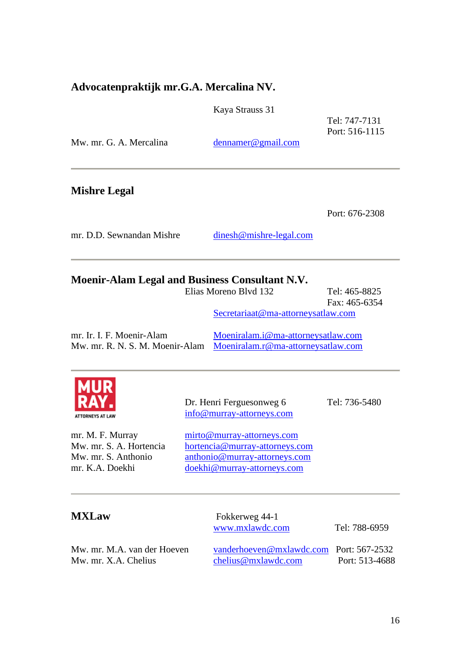#### **Advocatenpraktijk mr.G.A. Mercalina NV.**

Kaya Strauss 31

Tel: 747-7131 Port: 516-1115

| Mw. mr. G. A. Mercalina | denname@gmail.com |
|-------------------------|-------------------|
|                         |                   |

**Mishre Legal** 

Port: 676-2308

mr. D.D. Sewnandan Mishre dinesh@mishre-legal.com

### **Moenir-Alam Legal and Business Consultant N.V.**

|                                                              | Elias Moreno Blvd 132                                                    | Tel: 465-8825 |
|--------------------------------------------------------------|--------------------------------------------------------------------------|---------------|
|                                                              |                                                                          | Fax: 465-6354 |
|                                                              | Secretariaat@ma-attorneysatlaw.com                                       |               |
| mr. Ir. I. F. Moenir-Alam<br>Mw. mr. R. N. S. M. Moenir-Alam | Moeniralam.i@ma-attorneysatlaw.com<br>Moeniralam.r@ma-attorneysatlaw.com |               |
|                                                              |                                                                          |               |



Dr. Henri Ferguesonweg 6 Tel: 736-5480 [info@murray-attorneys.com](mailto:info@murray-attorneys.com)

mr. M. F. Murray [mirto@murray-attorneys.com](mailto:mirto@murray-attorneys.com) Mw. mr. S. A. Hortencia [hortencia@murray-attorneys.com](mailto:hortencia@murray-attorneys.com) Mw. mr. S. Anthonio [anthonio@murray-attorneys.com](mailto:anthonio@murray-attorneys.com) mr. K.A. Doekhi [doekhi@murray-attorneys.com](mailto:doekhi@murray-attorneys.com)

**MXLaw** Fokkerweg 44-1 [www.mxlawdc.com](http://www.mxlawdc.com/) Tel: 788-6959 Mw. mr. M.A. van der Hoeven [vanderhoeven@mxlawdc.com](mailto:vanderhoeven@mxlawdc.com) Port: 567-2532 Mw. mr. X.A. Chelius [chelius@mxlawdc.com](mailto:chelius@mxlawdc.com) Port: 513-4688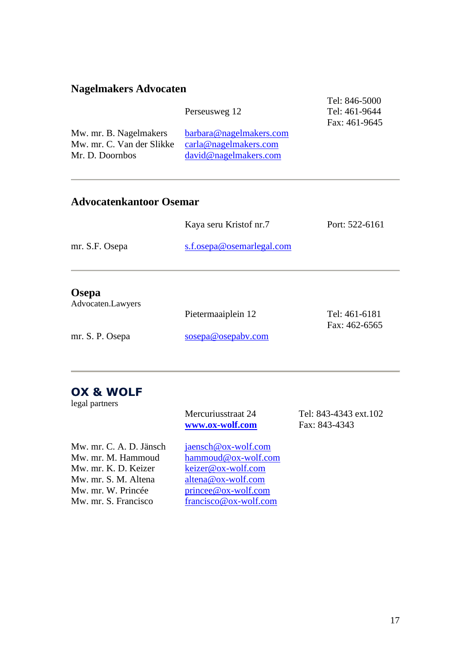## **Nagelmakers Advocaten**

|                                                                        | Perseusweg 12                                                                | Tel: 846-5000<br>Tel: 461-9644<br>Fax: 461-9645 |
|------------------------------------------------------------------------|------------------------------------------------------------------------------|-------------------------------------------------|
| Mw. mr. B. Nagelmakers<br>Mw. mr. C. Van der Slikke<br>Mr. D. Doornbos | barbara@nagelmakers.com<br>$card@nagel$ makers.com<br>david@nagel makers.com |                                                 |

### **Advocatenkantoor Osemar**

|                | Kaya seru Kristof nr.7    | Port: 522-6161 |
|----------------|---------------------------|----------------|
| mr. S.F. Osepa | s.f.osepa@osemarlegal.com |                |
|                |                           |                |
| $\sim$         |                           |                |

#### **Osepa**

| Advocaten.Lawyers |                    |                   |
|-------------------|--------------------|-------------------|
|                   | Pietermaaiplein 12 | Tel: 461-6181     |
|                   |                    | Fax: $462 - 6565$ |
| mr. S. P. Osepa   | sosepa@osepabv.com |                   |
|                   |                    |                   |

## **OX & WOLF**

legal partners

| regate paranelle        | Mercuriusstraat 24<br>www.ox-wolf.com | Tel: 843-4343 ext.102<br>Fax: 843-4343 |
|-------------------------|---------------------------------------|----------------------------------------|
| Mw. mr. C. A. D. Jänsch | jaensch@ox-wolf.com                   |                                        |
| Mw. mr. M. Hammoud      | hammoud@ox-wolf.com                   |                                        |
| Mw. mr. K. D. Keizer    | keizer@ox-wolf.com                    |                                        |
| Mw. mr. S. M. Altena    | $altena@ox-wolf.com$                  |                                        |
| Mw. mr. W. Princée      | $prince @$ ox-wolf.com                |                                        |
| Mw. mr. S. Francisco    | francisco@ox-wolf.com                 |                                        |
|                         |                                       |                                        |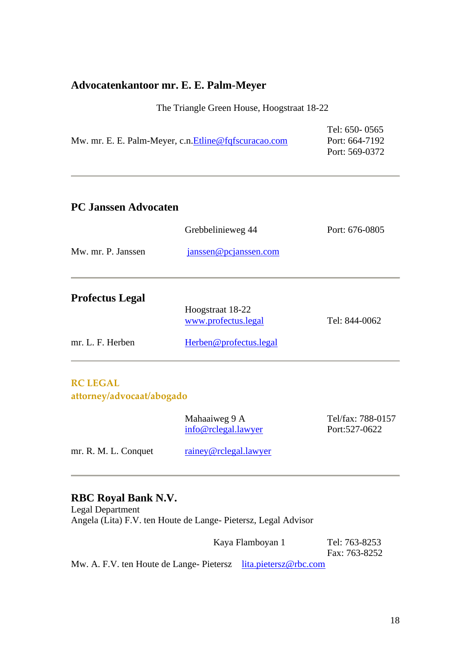### **Advocatenkantoor mr. E. E. Palm-Meyer**

The Triangle Green House, Hoogstraat 18-22

|                                                       | Tel: 650-0565  |
|-------------------------------------------------------|----------------|
| Mw. mr. E. E. Palm-Meyer, c.n. Etline@fqfscuracao.com | Port: 664-7192 |
|                                                       | Port: 569-0372 |

### **PC Janssen Advocaten**

|                        | Grebbelinieweg 44                             | Port: 676-0805 |
|------------------------|-----------------------------------------------|----------------|
| Mw. mr. P. Janssen     | janssen@pcjanssen.com                         |                |
| <b>Profectus Legal</b> | Hoogstraat 18-22                              |                |
| mr. L. F. Herben       | www.profectus.legal<br>Herben@profectus.legal | Tel: 844-0062  |
|                        |                                               |                |

#### **RC LEGAL attorney/advocaat/abogado**

|                      | Mahaaiweg 9 A<br>info@rclegal.lawyer | Tel/fax: 788-0157<br>Port: 527 - 0622 |
|----------------------|--------------------------------------|---------------------------------------|
| mr. R. M. L. Conquet | rainey@rclegal.lawyer                |                                       |

### **RBC Royal Bank N.V.**

Legal Department Angela (Lita) F.V. ten Houte de Lange- Pietersz, Legal Advisor

Kaya Flamboyan 1 Tel: 763-8253

Fax: 763-8252

Mw. A. F.V. ten Houte de Lange- Pietersz [lita.pietersz@rbc.com](mailto:lita.pietersz@rbc.com)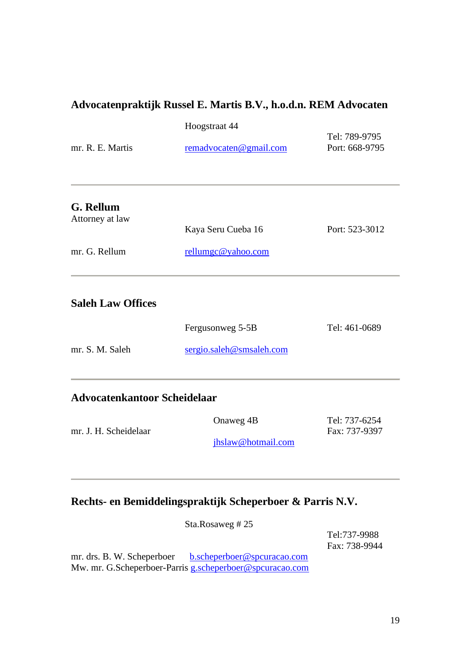## **Advocatenpraktijk Russel E. Martis B.V., h.o.d.n. REM Advocaten**

|                                     | Hoogstraat 44                            |                                 |
|-------------------------------------|------------------------------------------|---------------------------------|
| mr. R. E. Martis                    | remadvocaten@gmail.com                   | Tel: 789-9795<br>Port: 668-9795 |
| G. Rellum<br>Attorney at law        |                                          |                                 |
| mr. G. Rellum                       | Kaya Seru Cueba 16<br>rellumgc@yahoo.com | Port: 523-3012                  |
| <b>Saleh Law Offices</b>            |                                          |                                 |
|                                     | Fergusonweg 5-5B                         | Tel: 461-0689                   |
| mr. S. M. Saleh                     | sergio.saleh@smsaleh.com                 |                                 |
| <b>Advocatenkantoor Scheidelaar</b> |                                          |                                 |
| mr. J. H. Scheidelaar               | Onaweg 4B<br>jhslaw@hotmail.com          | Tel: 737-6254<br>Fax: 737-9397  |
|                                     |                                          |                                 |

### **Rechts- en Bemiddelingspraktijk Scheperboer & Parris N.V.**

| Sta.Rosaweg # $25$                                                                                                 |                               |
|--------------------------------------------------------------------------------------------------------------------|-------------------------------|
|                                                                                                                    | Tel:737-9988<br>Fax: 738-9944 |
| mr. drs. B. W. Scheperboer b.scheperboer@spcuracao.com<br>Mw. mr. G.Scheperboer-Parris g.scheperboer@spcuracao.com |                               |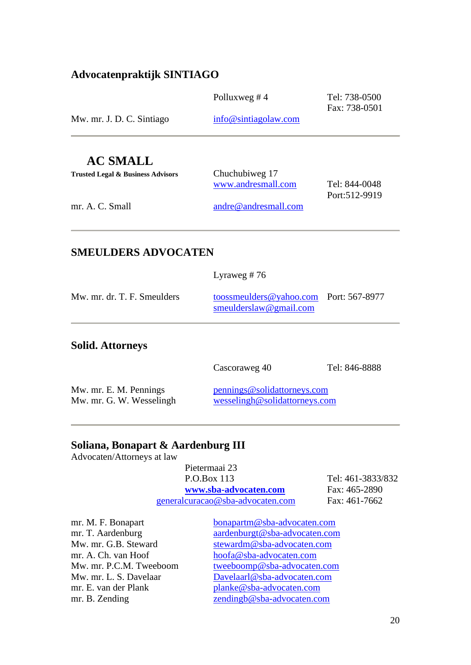### **Advocatenpraktijk SINTIAGO**

|                           | Polluxweg # $4$      | Tel: 738-0500<br>Fax: 738-0501 |
|---------------------------|----------------------|--------------------------------|
| Mw. mr. J. D. C. Sintiago | info@sintiagolaw.com |                                |
|                           |                      |                                |

### **AC SMALL**

| Trusted Legal & Business Advisors | Chuchubiweg 17               |               |
|-----------------------------------|------------------------------|---------------|
|                                   | www.andresmall.com           | Tel: 844-0048 |
|                                   |                              | Port:512-9919 |
| mr. A. C. Small                   | $and \nre@and \nresmall.com$ |               |
|                                   |                              |               |

### **SMEULDERS ADVOCATEN**

|                             | Lyraweg # $76$                                                   |  |
|-----------------------------|------------------------------------------------------------------|--|
| Mw. mr. dr. T. F. Smeulders | toossmeulders@yahoo.com Port: 567-8977<br>smeulderslaw@gmail.com |  |

#### **Solid. Attorneys**

Cascoraweg 40 Tel: 846-8888

| Mw. mr. E. M. Pennings   | pennings@solidattorneys.com   |
|--------------------------|-------------------------------|
| Mw. mr. G. W. Wesselingh | wesselingh@solidattorneys.com |

### **Soliana, Bonapart & Aardenburg III**

Advocaten/Attorneys at law

| Pietermaai 23                    |                |
|----------------------------------|----------------|
| P.O.Box 113                      | Tel: 461-3833/ |
| www.sba-advocaten.com            | Fax: 465-2890  |
| generalcuracao@sba-advocaten.com | Fax: 461-7662  |

Tel: 461-3833/832 **[www.sba-advocaten.com](file:///C:/Users/Nadeska/AppData/Local/Microsoft/Windows/Temporary%20Internet%20Files/Content.Outlook/AppData/Roaming/Microsoft/Word/www.sba-advocaten.com)** Fax: 465-2890

mr. A. Ch. van Hoof [hoofa@sba-advocaten.com](mailto:hoofa@sba-advocaten.com)

mr. M. F. Bonapart [bonapartm@sba-advocaten.com](file:///C:/Users/Nadeska/AppData/Local/Microsoft/Windows/Temporary%20Internet%20Files/Content.Outlook/AppData/Roaming/Microsoft/Word/bonapartm@sba-advocaten.com) mr. T. Aardenburg [aardenburgt@sba-advocaten.com](file:///C:/Users/Nadeska/AppData/Local/Microsoft/Windows/Temporary%20Internet%20Files/Content.Outlook/AppData/Roaming/Microsoft/Word/aardenburgt@sba-advocaten.com) Mw. mr. G.B. Steward [stewardm@sba-advocaten.com](mailto:stewardm@sba-advocaten.com) Mw. mr. P.C.M. Tweeboom [tweeboomp@sba-advocaten.com](mailto:tweeboomp@sba-advocaten.com) Mw. mr. L. S. Davelaar [Davelaarl@sba-advocaten.com](mailto:Davelaarl@sba-advocaten.com) mr. E. van der Plank [planke@sba-advocaten.com](mailto:planke@sba-advocaten.com) mr. B. Zending [zendingb@sba-advocaten.com](mailto:zendingb@sba-advocaten.com)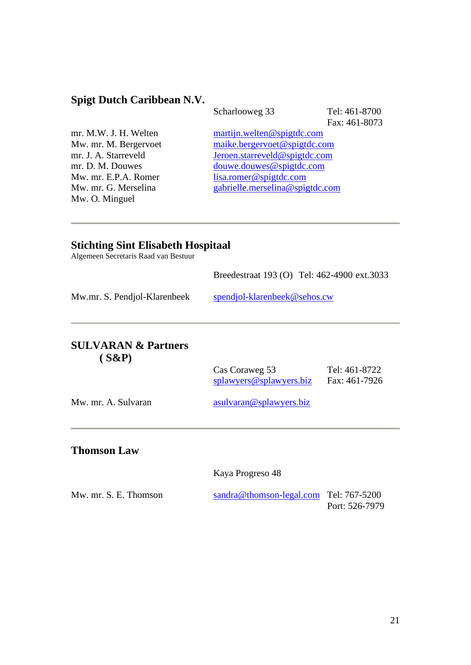### **Spigt Dutch Caribbean N.V.**

Mw. O. Minguel

Scharlooweg 33 Tel: 461-8700

Fax: 461-8073

mr. M.W. J. H. Welten [martijn.welten@spigtdc.com](mailto:martijn.welten@spigtdc.com) Mw. mr. M. Bergervoet [maike.bergervoet@spigtdc.com](mailto:maike.bergervoet@spigtdc.com)<br>mr. J. A. Starreveld Jeroen.starreveld@spigtdc.com [Jeroen.starreveld@spigtdc.com](mailto:Jeroen.starreveld@spigtdc.com) mr. D. M. Douwes [douwe.douwes@spigtdc.com](mailto:douwe.douwes@spigtdc.com) Mw. mr. E.P.A. Romer [lisa.romer@spigtdc.com](mailto:lisa.romer@spigtdc.com) Mw. mr. G. Merselina [gabrielle.merselina@spigtdc.com](mailto:gabrielle.merselina@spigtdc.com)

#### **Stichting Sint Elisabeth Hospitaal**

Algemeen Secretaris Raad van Bestuur

|                                            | Breedestraat 193 (O) Tel: 462-4900 ext.3033 |                                |
|--------------------------------------------|---------------------------------------------|--------------------------------|
| Mw.mr. S. Pendjol-Klarenbeek               | spendjol-klarenbeek@sehos.cw                |                                |
| <b>SULVARAN &amp; Partners</b><br>$(S\&P)$ | Cas Coraweg 53<br>splawyers@splawyers.biz   | Tel: 461-8722<br>Fax: 461-7926 |
| Mw. mr. A. Sulvaran                        | asulvaran@splawyers.biz                     |                                |
| <b>Thomson Law</b>                         |                                             |                                |

Kaya Progreso 48

| Mw. mr. S. E. Thomson | $sandra@thomson-legal.com$ Tel: 767-5200 |                |
|-----------------------|------------------------------------------|----------------|
|                       |                                          | Port: 526-7979 |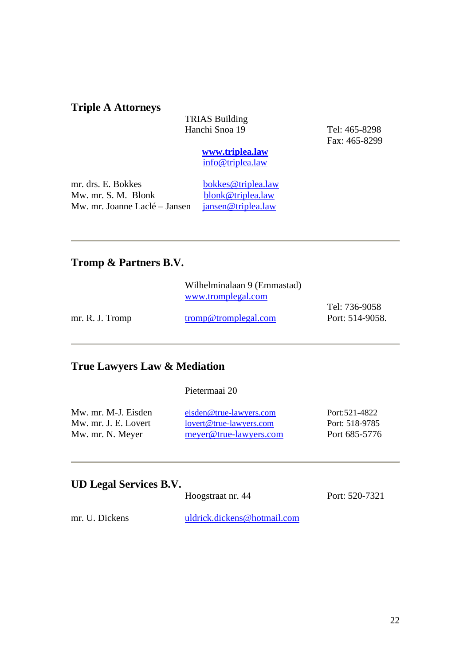#### **Triple A Attorneys**

TRIAS Building Hanchi Snoa 19 Tel: 465-8298

Fax: 465-8299

**[www.triplea.law](http://www.triplea.law/)** [info@triplea.law](mailto:info@triplea.law)

mr. drs. E. Bokkes [bokkes@triplea.law](mailto:bokkes@triplea.law)<br>Mw. mr. S. M. Blonk blonk@triplea.law Mw. mr. S. M. Blonk<br>Mw. mr. Joanne Laclé – Jansen jansen@triplea.law Mw. mr. Joanne Laclé – Jansen

#### **Tromp & Partners B.V.**

|                 | Wilhelminalaan 9 (Emmastad) |                 |
|-----------------|-----------------------------|-----------------|
|                 | www.tromplegal.com          |                 |
|                 |                             | Tel: 736-9058   |
| mr. R. J. Tromp | tromp@tromplegal.com        | Port: 514-9058. |

### **True Lawyers Law & Mediation**

#### Pietermaai 20

| Mw. mr. M-J. Eisden  | eisden@true-lawyers.com | Port: 521-4822 |
|----------------------|-------------------------|----------------|
| Mw. mr. J. E. Lovert | lovert@true-lawyers.com | Port: 518-9785 |
| Mw. mr. N. Meyer     | meyer@true-lawyers.com  | Port 685-5776  |

### **UD Legal Services B.V.**

|       | Hoogstraat nr. 44           |
|-------|-----------------------------|
| ckens | uldrick dickens@hotmail.com |

mr. U. Dickens

Port: 520-7321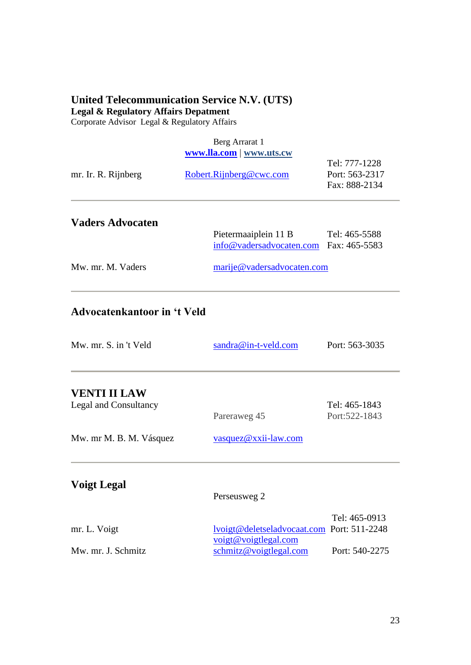#### **United Telecommunication Service N.V. (UTS) Legal & Regulatory Affairs Depatment**

Corporate Advisor Legal & Regulatory Affairs

## Berg Arrarat 1 **[www.lla.com](http://www.lla.com/) | [www.uts.cw](http://www.uts.cw/)** Tel: 777-1228 mr. Ir. R. Rijnberg [Robert.Rijnberg@cwc.com](mailto:Robert.Rijnberg@cwc.com) Port: 563-2317 Fax: 888-2134 **Vaders Advocaten**  Pietermaaiplein 11 B Tel: 465-5588 [info@vadersadvocaten.com](mailto:info@vadersadvocaten.com) Fax: 465-5583 Mw. mr. M. Vaders [marije@vadersadvocaten.com](mailto:marije@vadersadvocaten.com)

### **Advocatenkantoor in 't Veld**

| Mw. mr. S. in 't Veld   | sandra@in-t-veld.com | Port: 563-3035                 |
|-------------------------|----------------------|--------------------------------|
| <b>VENTI II LAW</b>     |                      |                                |
| Legal and Consultancy   | Pareraweg 45         | Tel: 465-1843<br>Port:522-1843 |
| Mw. mr M. B. M. Vásquez | vasquez@xxii-law.com |                                |
| <b>Voigt Legal</b>      | Perseusweg 2         |                                |
|                         |                      | $T - 1.$ $1 \in \Omega$        |

|                    |                                            | Tel: 465-0913  |
|--------------------|--------------------------------------------|----------------|
| mr. L. Voigt       | lvoigt@deletseladvocaat.com Port: 511-2248 |                |
|                    | $\text{voigt@voigtlegal.com}$              |                |
| Mw. mr. J. Schmitz | schmitz@voigtlegal.com                     | Port: 540-2275 |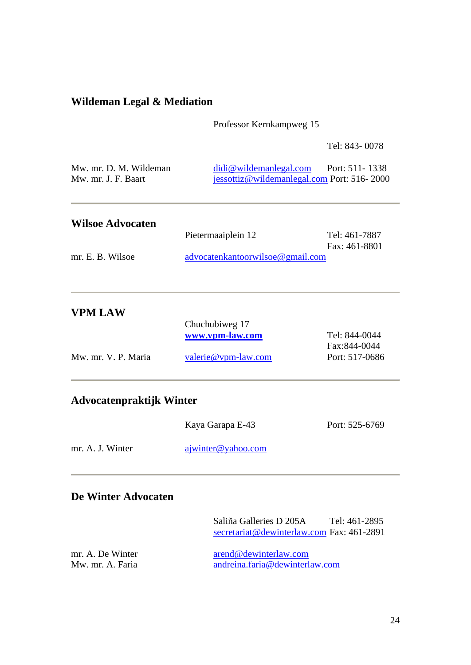### **Wildeman Legal & Mediation**

Professor Kernkampweg 15

Tel: 843- 0078

| Mw. mr. D. M. Wildeman | $did$ wildeman legal.com                      | Port: $511 - 1338$ |
|------------------------|-----------------------------------------------|--------------------|
| Mw. mr. J. F. Baart    | $i$ essottiz@wildemanlegal.com Port: 516-2000 |                    |

| <b>Wilsoe Advocaten</b> |                                  |               |
|-------------------------|----------------------------------|---------------|
|                         | Pietermaaiplein 12               | Tel: 461-7887 |
|                         |                                  | Fax: 461-8801 |
| mr. E. B. Wilsoe        | advocatenkantoorwilsoe@gmail.com |               |

| <b>VPM LAW</b>      |                     |                |
|---------------------|---------------------|----------------|
|                     | Chuchubiweg 17      |                |
|                     | www.vpm-law.com     | Tel: 844-0044  |
|                     |                     | Fax:844-0044   |
| Mw. mr. V. P. Maria | valerie@vpm-law.com | Port: 517-0686 |
|                     |                     |                |

### **Advocatenpraktijk Winter**

|                  | Kaya Garapa E-43   | Port: 525-6769 |
|------------------|--------------------|----------------|
| mr. A. J. Winter | ajwinter@yahoo.com |                |

### **De Winter Advocaten**

|                                      | Saliña Galleries D 205A<br>secretariat@dewinterlaw.com Fax: 461-2891 | Tel: 461-2895 |
|--------------------------------------|----------------------------------------------------------------------|---------------|
| mr. A. De Winter<br>Mw. mr. A. Faria | arend@dewinterlaw.com<br>andreina.faria@dewinterlaw.com              |               |